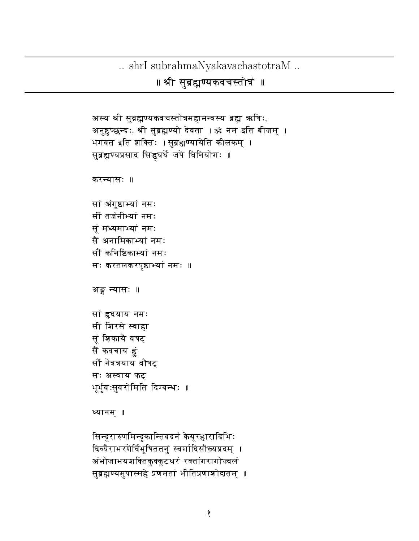$\ldots$ shr<br>I subrahma<br>Nyakava<br/>chastotra<br/>M  $\ldots$ 

॥ श्री सुब्रह्मण्यकवचस्तोत्रं ॥

अस्य श्री सुब्रह्मण्यकवचस्तोत्रमहामन्त्रस्य ब्रह्म ऋषिः, अनुष्टुप्छन्दः, श्री सुब्रह्मण्यो देवता । ॐ नम इति बीजम् । भगवत इति शक्तिः । सुब्रह्मण्यायेति कीलकम् । सूब्रह्मण्यप्रसाद सिद्धयर्थे जपे विनियोगः ॥ करन्यासः ॥ सां अंगुष्ठाभ्यां नमः सीं तर्जनीभ्यां नमः सूं मध्यमाभ्यां नमः सैं अनामिकाभ्यां नमः सौं कनिष्ठिकाभ्यां नमः सः करतलकरपृष्ठाभ्यां नमः ॥ अङ्ग न्यासः ॥ सां हृदयाय नमः सीं शिरसे स्वाहा सूं शिकायै वषट् सैं कवचाय हूं सौं नेत्रत्रयाय वौषट् सः अस्त्राय फट् भूर्भुवःसुवरोमिति दिग्बन्धः ॥ ध्यानम् ॥ सिन्दूरारुणमिन्दुकान्तिवदनं केयूरहारादिभिः दिव्यैराभरणेर्विभूषिततनुं स्वर्गादिसौरूयप्रदम् । अंभोजाभयशक्तिकुक्कुटधरं रक्तांगरागोज्वलं सूब्रह्मण्यमुपास्महे प्रणमतां भीतिप्रणाशोद्यतम् ॥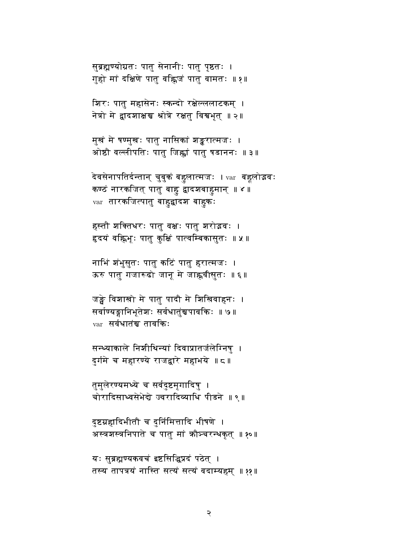सुब्रह्मण्योग्रतः पातु सेनानीः पातु पृष्ठतः । गुहो मां दक्षिणे पातु वह्निजं पातु वामतः ॥१॥

शिरः पातु महासेनः स्कन्दो रक्षेल्ललाटकम् । नेत्रो मे द्वादशाक्षस्र श्रोत्रे रक्षतु विश्वभृत् ॥ २ ॥

मुखं मे षण्मुखः पातु नासिकां शङ्करात्मजः । ओष्ठौ वल्लीपतिः पातु जिह्वां पातु षडाननः ॥३॥

देवसेनापतिर्दन्तान् चुबुकं बहुलात्मजः । var बहूलोद्भवः कण्ठं नारकजित् पातु बाहु द्वादशबाहूमान् ॥ ४ ॥ var तारकजित्पातु बाहुद्वादश बाहुकः

हस्तौ शक्तिघरः पातु वक्षः पातु शरोद्गवः । हृदयं वह्निभूः पातु कुक्षिं पात्वम्बिकासुतः ॥ ५ ॥

नाभिं शंभुसुतः पातु कटिं पातु हरात्मजः । ऊरु पातु गजारूढो जानू मे जाह्नवीसूतः ॥६॥

जङ्घे विशाखो मे पातु पादौ मे शिखिवाहनः । सर्वाण्यङ्गानिभूतेश्रः सर्वधातुंश्वपावकिः ॥ ७ ॥ var सर्वधातं<del>य</del> तावकिः

सन्ध्याकाले निशीथिन्यां दिवाप्रातर्जलेग्निषु । 

तुमुलेरण्यमध्ये च सर्वदुष्टमृगादिषु । चोरादिसाध्वसेभेद्ये ज्वरादिव्याधि पीडने ॥९॥

दृष्टग्रहादिभीतौ च दुर्निमित्तादि भीषणे । अस्त्रशस्त्रनिपाते च पातु मां क्रौञ्चरन्थकृत् ॥१०॥

यः सुब्रह्मण्यकवचं इष्टसिद्धिप्रदं पठेत् । तस्य तापत्रयं नास्ति सत्यं सत्यं वदाम्यहम् ॥११॥